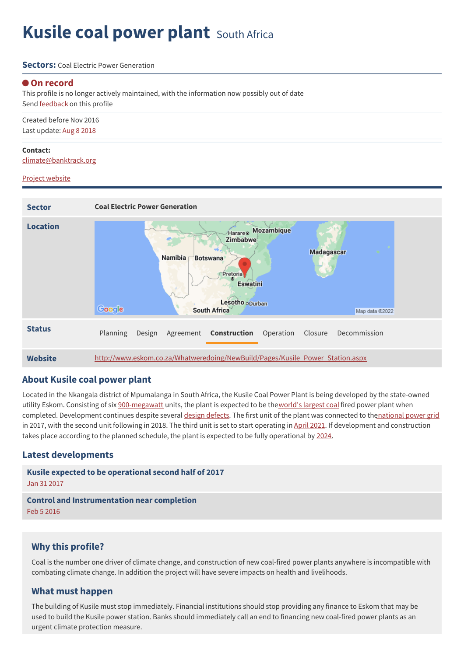# **Kusile coal power plant** South Africa

#### **Sectors:** Coal Flectric Power Generation

#### **On record**

This profile is no longer actively maintained, with the information now possibly out of date Send [feedback](https://www.banktrack.org/feedback/dodgydeal/kusile_coal_power_plant) on this profile

Created before Nov 2016 Last update: Aug 8 2018

#### **Contact:**

[climate@banktrack.org](mailto:climate@banktrack.org)

#### Project [website](http://www.eskom.co.za/Whatweredoing/NewBuild/Pages/Kusile_Power_Station.aspx)



### **About Kusile coal power plant**

Located in the Nkangala district of Mpumalanga in South Africa, the Kusile Coal Power Plant is being developed by the state-owned utility Eskom. Consisting of six [900-megawatt](https://www.eskom.co.za/Whatweredoing/NewBuild/Pages/Kusile_Power_Station.aspx) units, the plant is expected to be the [world's](https://www.power-technology.com/projects/kusilepowerstation/#:~:text=Share%20Article,to%20be%20completed%20by%202018.) largest coal fired power plant when completed. Development continues despite several design [defects](https://www.gem.wiki/Kusile_Power_Station). The first unit of the plant was connected to th[enational](https://www.gem.wiki/Kusile_Power_Station) power grid in 2017, with the second unit following in 2018. The third unit is set to start operating in [April](https://www.timeslive.co.za/news/south-africa/2021-03-31-eskom-to-start-up-third-unit-at-kusile-coal-fired-power-station/) 2021. If development and construction takes place according to the planned schedule, the plant is expected to be fully operational by [2024](https://www.gem.wiki/Kusile_Power_Station).

### **Latest developments**

**Kusile expected to be [operational](javascript:void(0)) second half of 2017** Jan 31 2017

**Control and [Instrumentation](javascript:void(0)) near completion** Feb 5 2016

### **Why this profile?**

Coal is the number one driver of climate change, and construction of new coal-fired power plants anywhere is incompatible with combating climate change. In addition the project will have severe impacts on health and livelihoods.

### **What must happen**

The building of Kusile must stop immediately. Financial institutions should stop providing any finance to Eskom that may be used to build the Kusile power station. Banks should immediately call an end to financing new coal-fired power plants as an urgent climate protection measure.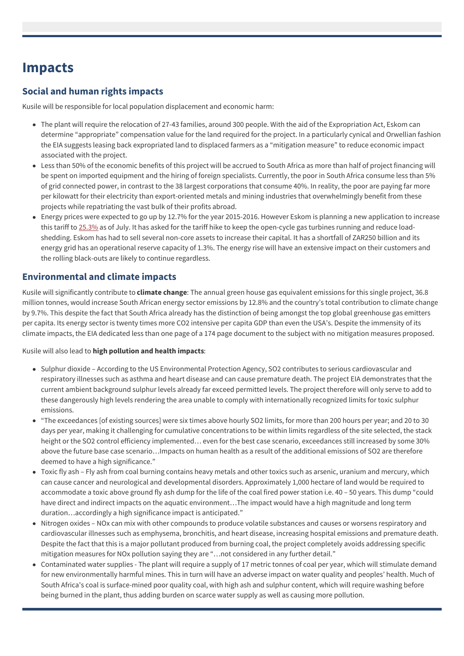## **Impacts**

## **Social and human rights impacts**

Kusile will be responsible for local population displacement and economic harm:

- The plant will require the relocation of 27-43 families, around 300 people. With the aid of the Expropriation Act, Eskom can determine "appropriate" compensation value for the land required for the project. In a particularly cynical and Orwellian fashion the EIA suggests leasing back expropriated land to displaced farmers as a "mitigation measure" to reduce economic impact associated with the project.
- Less than 50% of the economic benefits of this project will be accrued to South Africa as more than half of project financing will be spent on imported equipment and the hiring of foreign specialists. Currently, the poor in South Africa consume less than 5% of grid connected power, in contrast to the 38 largest corporations that consume 40%. In reality, the poor are paying far more per kilowatt for their electricity than export-oriented metals and mining industries that overwhelmingly benefit from these projects while repatriating the vast bulk of their profits abroad.
- Energy prices were expected to go up by 12.7% for the year 2015-2016. However Eskom is planning a new application to increase this tariff to [25.3%](http://www.bdlive.co.za/business/energy/2015/03/20/request-for-eskom-tariff-increase-of-more-than-25) as of July. It has asked for the tariff hike to keep the open-cycle gas turbines running and reduce loadshedding. Eskom has had to sell several non-core assets to increase their capital. It has a shortfall of ZAR250 billion and its energy grid has an operational reserve capacity of 1.3%. The energy rise will have an extensive impact on their customers and the rolling black-outs are likely to continue regardless.

## **Environmental and climate impacts**

Kusile will significantly contribute to **climate change**: The annual green house gas equivalent emissions for this single project, 36.8 million tonnes, would increase South African energy sector emissions by 12.8% and the country's total contribution to climate change by 9.7%. This despite the fact that South Africa already has the distinction of being amongst the top global greenhouse gas emitters per capita. Its energy sector is twenty times more CO2 intensive per capita GDP than even the USA's. Despite the immensity of its climate impacts, the EIA dedicated less than one page of a 174 page document to the subject with no mitigation measures proposed.

Kusile will also lead to **high pollution and health impacts**:

- Sulphur dioxide According to the US Environmental Protection Agency, SO2 contributes to serious cardiovascular and respiratory illnesses such as asthma and heart disease and can cause premature death. The project EIA demonstrates that the current ambient background sulphur levels already far exceed permitted levels. The project therefore will only serve to add to these dangerously high levels rendering the area unable to comply with internationally recognized limits for toxic sulphur emissions.
- "The exceedances [of existing sources] were six times above hourly SO2 limits, for more than 200 hours per year; and 20 to 30 days per year, making it challenging for cumulative concentrations to be within limits regardless of the site selected, the stack height or the SO2 control efficiency implemented… even for the best case scenario, exceedances still increased by some 30% above the future base case scenario…Impacts on human health as a result of the additional emissions of SO2 are therefore deemed to have a high significance."
- Toxic fly ash Fly ash from coal burning contains heavy metals and other toxics such as arsenic, uranium and mercury, which can cause cancer and neurological and developmental disorders. Approximately 1,000 hectare of land would be required to accommodate a toxic above ground fly ash dump for the life of the coal fired power station i.e. 40 – 50 years. This dump "could have direct and indirect impacts on the aquatic environment…The impact would have a high magnitude and long term duration…accordingly a high significance impact is anticipated."
- Nitrogen oxides NOx can mix with other compounds to produce volatile substances and causes or worsens respiratory and cardiovascular illnesses such as emphysema, bronchitis, and heart disease, increasing hospital emissions and premature death. Despite the fact that this is a major pollutant produced from burning coal, the project completely avoids addressing specific mitigation measures for NOx pollution saying they are "…not considered in any further detail."
- Contaminated water supplies The plant will require a supply of 17 metric tonnes of coal per year, which will stimulate demand for new environmentally harmful mines. This in turn will have an adverse impact on water quality and peoples' health. Much of South Africa's coal is surface-mined poor quality coal, with high ash and sulphur content, which will require washing before being burned in the plant, thus adding burden on scarce water supply as well as causing more pollution.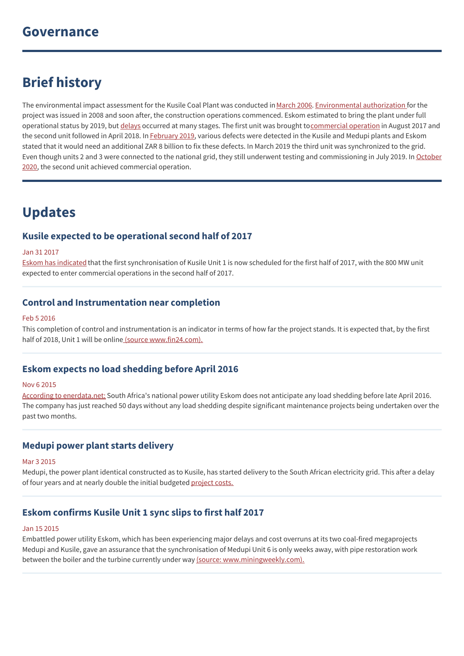## **Brief history**

The environmental impact assessment for the Kusile Coal Plant was conducted in [March](https://www.power-technology.com/projects/kusilepowerstation/) 2006. [Environmental](https://www.power-technology.com/projects/kusilepowerstation/) authorization for the project was issued in 2008 and soon after, the construction operations commenced. Eskom estimated to bring the plant under full operational status by 2019, but [delays](https://www.gem.wiki/Kusile_Power_Station) occurred at many stages. The first unit was brought to [commercial](https://www.gem.wiki/Kusile_Power_Station) operation in August 2017 and the second unit followed in April 2018. In [February](https://www.gem.wiki/Kusile_Power_Station) 2019, various defects were detected in the Kusile and Medupi plants and Eskom stated that it would need an additional ZAR 8 billion to fix these defects. In March 2019 the third unit was synchronized to the grid. Even though units 2 and 3 were connected to the national grid, they still underwent testing and [commissioning](https://www.gem.wiki/Kusile_Power_Station) in July 2019. In October 2020, the second unit achieved commercial operation.

## **Updates**

## **Kusile expected to be operational second half of 2017**

#### Jan 31 2017

Eskom has [indicated](http://www.eskom.co.za/Whatweredoing/NewBuild/Pages/Kusile_Power_Station.aspx) that the first synchronisation of Kusile Unit 1 is now scheduled for the first half of 2017, with the 800 MW unit expected to enter commercial operations in the second half of 2017.

## **Control and Instrumentation near completion**

#### Feb 5 2016

This completion of control and instrumentation is an indicator in terms of how far the project stands. It is expected that, by the first half of 2018, Unit 1 will be online (source [www.fin24.com\).](http://www.fin24.com/Economy/Eskom/heartbeat-of-kusile-unit-1-nearing-completion-20160205)

## **Eskom expects no load shedding before April 2016**

#### Nov 6 2015

According to [enerdata.net:](http://www.enerdata.net/enerdatauk/press-and-publication/energy-news-001/eskom-expects-no-load-shedding-april-2016-south-africa_34850.html) South Africa's national power utility Eskom does not anticipate any load shedding before late April 2016. The company has just reached 50 days without any load shedding despite significant maintenance projects being undertaken over the past two months.

### **Medupi power plant starts delivery**

#### Mar 3 2015

Medupi, the power plant identical constructed as to Kusile, has started delivery to the South African electricity grid. This after a delay of four years and at nearly double the initial budgeted [project](http://www.bdlive.co.za/business/energy/2015/03/03/medupi-finally-produces-first-power) costs.

## **Eskom confirms Kusile Unit 1 sync slips to first half 2017**

#### Jan 15 2015

Embattled power utility Eskom, which has been experiencing major delays and cost overruns at its two coal-fired megaprojects Medupi and Kusile, gave an assurance that the synchronisation of Medupi Unit 6 is only weeks away, with pipe restoration work between the boiler and the turbine currently under way (source: [www.miningweekly.com\).](http://www.miningweekly.com/article/eskom-confirms-kusile-unit-1-sync-delayed-to-h1-2017-2015-01-15)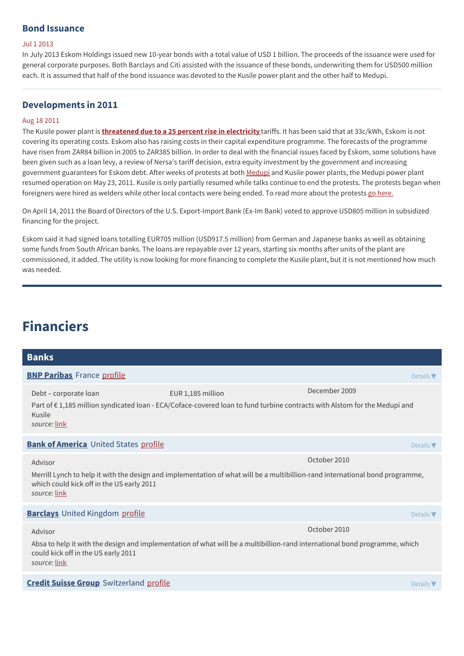### **Bond Issuance**

#### Jul 1 2013

In July 2013 Eskom Holdings issued new 10-year bonds with a total value of USD 1 billion. The proceeds of the issuance were used for general corporate purposes. Both Barclays and Citi assisted with the issuance of these bonds, underwriting them for USD500 million each. It is assumed that half of the bond issuance was devoted to the Kusile power plant and the other half to Medupi.

## **Developments in 2011**

#### Aug 18 2011

The Kusile power plant is **[threatened](http://business.iafrica.com/businessday/746954.html) due to a 25 percent rise in electricity** tariffs. It has been said that at 33c/kWh, Eskom is not covering its operating costs. Eskom also has raising costs in their capital expenditure programme. The forecasts of the programme have risen from ZAR84 billion in 2005 to ZAR385 billion. In order to deal with the financial issues faced by Eskom, some solutions have been given such as a loan levy, a review of Nersa's tariff decision, extra equity investment by the government and increasing government guarantees for Eskom debt. After weeks of protests at both [Medupi](https://www.banktrack.org/project/kusile_coal_power_plant/0/medupi_coal_power_plant) and Kusile power plants, the Medupi power plant resumed operation on May 23, 2011. Kusile is only partially resumed while talks continue to end the protests. The protests began when foreigners were hired as welders while other local contacts were being ended. To read more about the protests go [here.](http://af.reuters.com/article/investingNews/idAFJOE74M06N20110523)

On April 14, 2011 the Board of Directors of the U.S. Export-Import Bank (Ex-Im Bank) voted to approve USD805 million in subsidized financing for the project.

Eskom said it had signed loans totalling EUR705 million (USD917.5 million) from German and Japanese banks as well as obtaining some funds from South African banks. The loans are repayable over 12 years, starting six months after units of the plant are commissioned, it added. The utility is now looking for more financing to complete the Kusile plant, but it is not mentioned how much was needed.

## **Financiers**

| <b>Banks</b>                                              |                                                                                                                                                |                              |
|-----------------------------------------------------------|------------------------------------------------------------------------------------------------------------------------------------------------|------------------------------|
| <b>BNP Paribas</b> France profile                         |                                                                                                                                                | Details $\blacktriangledown$ |
| Debt - corporate loan<br>Kusile<br>source: link           | EUR 1,185 million<br>Part of €1,185 million syndicated loan - ECA/Coface-covered loan to fund turbine contracts with Alstom for the Medupi and | December 2009                |
| <b>Bank of America</b> United States profile              |                                                                                                                                                | Details $\nabla$             |
| Advisor                                                   |                                                                                                                                                | October 2010                 |
| which could kick off in the US early 2011<br>source: link | Merrill Lynch to help it with the design and implementation of what will be a multibillion-rand international bond programme,                  |                              |
| <b>Barclays</b> United Kingdom profile                    |                                                                                                                                                | Details $\nabla$             |
| Advisor                                                   |                                                                                                                                                | October 2010                 |
| could kick off in the US early 2011<br>source: link       | Absa to help it with the design and implementation of what will be a multibillion-rand international bond programme, which                     |                              |
| <b>Credit Suisse Group</b> Switzerland profile            |                                                                                                                                                | Details $\nabla$             |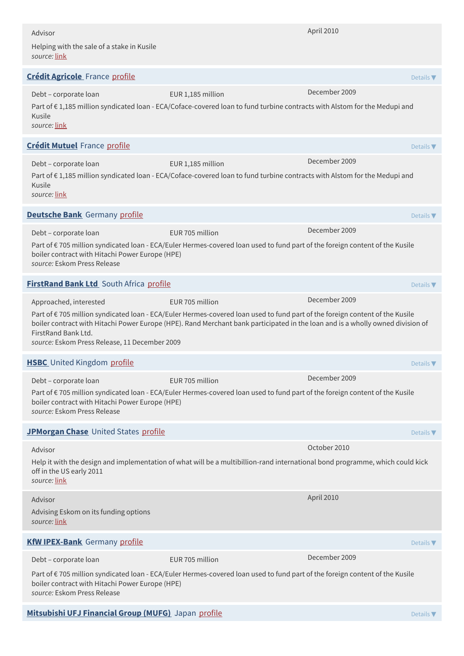| Advisor                                                                        |                                                                                                                                                                                                                                                               | April 2010                   |
|--------------------------------------------------------------------------------|---------------------------------------------------------------------------------------------------------------------------------------------------------------------------------------------------------------------------------------------------------------|------------------------------|
| Helping with the sale of a stake in Kusile<br>source: link                     |                                                                                                                                                                                                                                                               |                              |
| <b>Crédit Agricole</b> France profile                                          |                                                                                                                                                                                                                                                               | Details $\blacktriangledown$ |
| Debt - corporate loan<br>Kusile<br>source: link                                | EUR 1,185 million<br>Part of €1,185 million syndicated loan - ECA/Coface-covered loan to fund turbine contracts with Alstom for the Medupi and                                                                                                                | December 2009                |
| <b>Crédit Mutuel France profile</b>                                            |                                                                                                                                                                                                                                                               | Details $\nabla$             |
| Debt - corporate loan<br>Kusile<br>source: link                                | EUR 1,185 million<br>Part of €1,185 million syndicated loan - ECA/Coface-covered loan to fund turbine contracts with Alstom for the Medupi and                                                                                                                | December 2009                |
| <b>Deutsche Bank</b> Germany profile                                           |                                                                                                                                                                                                                                                               | Details $\blacktriangledown$ |
| Debt - corporate loan                                                          | EUR 705 million                                                                                                                                                                                                                                               | December 2009                |
| boiler contract with Hitachi Power Europe (HPE)<br>source: Eskom Press Release | Part of €705 million syndicated loan - ECA/Euler Hermes-covered loan used to fund part of the foreign content of the Kusile                                                                                                                                   |                              |
| <b>FirstRand Bank Ltd</b> South Africa profile                                 |                                                                                                                                                                                                                                                               | Details $\nabla$             |
| Approached, interested                                                         | EUR 705 million                                                                                                                                                                                                                                               | December 2009                |
| FirstRand Bank Ltd.<br>source: Eskom Press Release, 11 December 2009           | Part of €705 million syndicated loan - ECA/Euler Hermes-covered loan used to fund part of the foreign content of the Kusile<br>boiler contract with Hitachi Power Europe (HPE). Rand Merchant bank participated in the loan and is a wholly owned division of |                              |
| <b>HSBC</b> United Kingdom profile                                             |                                                                                                                                                                                                                                                               | Details $\nabla$             |
| Debt - corporate loan                                                          | EUR 705 million                                                                                                                                                                                                                                               | December 2009                |
| boiler contract with Hitachi Power Europe (HPE)<br>source: Eskom Press Release | Part of €705 million syndicated loan - ECA/Euler Hermes-covered loan used to fund part of the foreign content of the Kusile                                                                                                                                   |                              |
| JPMorgan Chase United States profile                                           |                                                                                                                                                                                                                                                               | Details $\nabla$             |
| Advisor                                                                        |                                                                                                                                                                                                                                                               | October 2010                 |
| off in the US early 2011<br>source: link                                       | Help it with the design and implementation of what will be a multibillion-rand international bond programme, which could kick                                                                                                                                 |                              |
| Advisor                                                                        |                                                                                                                                                                                                                                                               | April 2010                   |
| Advising Eskom on its funding options<br>source: link                          |                                                                                                                                                                                                                                                               |                              |
| <b>KfW IPEX-Bank</b> Germany profile                                           |                                                                                                                                                                                                                                                               | Details $\nabla$             |
| Debt - corporate loan                                                          | EUR 705 million                                                                                                                                                                                                                                               | December 2009                |
| boiler contract with Hitachi Power Europe (HPE)<br>source: Eskom Press Release | Part of €705 million syndicated loan - ECA/Euler Hermes-covered loan used to fund part of the foreign content of the Kusile                                                                                                                                   |                              |
|                                                                                |                                                                                                                                                                                                                                                               |                              |

**[Mitsubishi](http://www.bk.mufg.jp/global/) UFJ Financial Group (MUFG)** Japan [profile](https://www.banktrack.org/bank/bank_of_tokyo_mitsubishi_ufj) Details ▼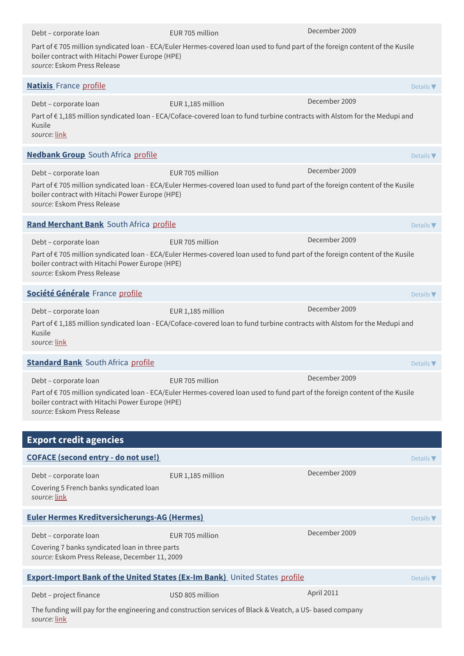| Debt - corporate loan                                                                                                                                                                                         | EUR 705 million                                                                                                                                | December 2009 |                              |  |  |
|---------------------------------------------------------------------------------------------------------------------------------------------------------------------------------------------------------------|------------------------------------------------------------------------------------------------------------------------------------------------|---------------|------------------------------|--|--|
| boiler contract with Hitachi Power Europe (HPE)<br>source: Eskom Press Release                                                                                                                                | Part of €705 million syndicated loan - ECA/Euler Hermes-covered loan used to fund part of the foreign content of the Kusile                    |               |                              |  |  |
| <b>Natixis</b> France profile                                                                                                                                                                                 |                                                                                                                                                |               | Details $\blacktriangledown$ |  |  |
| Debt - corporate loan<br>Kusile<br>source: link                                                                                                                                                               | EUR 1,185 million<br>Part of €1,185 million syndicated loan - ECA/Coface-covered loan to fund turbine contracts with Alstom for the Medupi and | December 2009 |                              |  |  |
| <b>Nedbank Group</b> South Africa profile                                                                                                                                                                     |                                                                                                                                                |               | Details $\nabla$             |  |  |
| Debt - corporate loan                                                                                                                                                                                         | EUR 705 million                                                                                                                                | December 2009 |                              |  |  |
| Part of €705 million syndicated loan - ECA/Euler Hermes-covered loan used to fund part of the foreign content of the Kusile<br>boiler contract with Hitachi Power Europe (HPE)<br>source: Eskom Press Release |                                                                                                                                                |               |                              |  |  |
| Rand Merchant Bank South Africa profile                                                                                                                                                                       |                                                                                                                                                |               | Details $\nabla$             |  |  |
| Debt - corporate loan                                                                                                                                                                                         | FUR 705 million                                                                                                                                | December 2009 |                              |  |  |
| boiler contract with Hitachi Power Europe (HPE)<br>source: Eskom Press Release                                                                                                                                | Part of €705 million syndicated loan - ECA/Euler Hermes-covered loan used to fund part of the foreign content of the Kusile                    |               |                              |  |  |
| Société Générale France profile                                                                                                                                                                               |                                                                                                                                                |               | Details $\nabla$             |  |  |
| Debt - corporate loan<br>Kusile<br>source: link                                                                                                                                                               | EUR 1,185 million<br>Part of €1,185 million syndicated loan - ECA/Coface-covered loan to fund turbine contracts with Alstom for the Medupi and | December 2009 |                              |  |  |
| <b>Standard Bank</b> South Africa profile                                                                                                                                                                     |                                                                                                                                                |               | Details $\nabla$             |  |  |
| Debt - corporate loan<br>boiler contract with Hitachi Power Europe (HPE)<br>source: Eskom Press Release                                                                                                       | EUR 705 million<br>Part of €705 million syndicated loan - ECA/Euler Hermes-covered loan used to fund part of the foreign content of the Kusile | December 2009 |                              |  |  |
| <b>Export credit agencies</b>                                                                                                                                                                                 |                                                                                                                                                |               |                              |  |  |
| <b>COFACE (second entry - do not use!)</b>                                                                                                                                                                    |                                                                                                                                                |               | Details $\nabla$             |  |  |
| Debt - corporate loan<br>Covering 5 French banks syndicated loan<br>source: link                                                                                                                              | EUR 1,185 million                                                                                                                              | December 2009 |                              |  |  |
| <b>Euler Hermes Kreditversicherungs-AG (Hermes)</b>                                                                                                                                                           |                                                                                                                                                |               | Details $\nabla$             |  |  |
| Debt - corporate loan<br>Covering 7 banks syndicated loan in three parts<br>source: Eskom Press Release, December 11, 2009                                                                                    | EUR 705 million                                                                                                                                | December 2009 |                              |  |  |
| <b>Export-Import Bank of the United States (Ex-Im Bank)</b> United States profile<br>Details $\nabla$                                                                                                         |                                                                                                                                                |               |                              |  |  |
| Debt - project finance                                                                                                                                                                                        | USD 805 million                                                                                                                                | April 2011    |                              |  |  |
| source: link                                                                                                                                                                                                  | The funding will pay for the engineering and construction services of Black & Veatch, a US- based company                                      |               |                              |  |  |